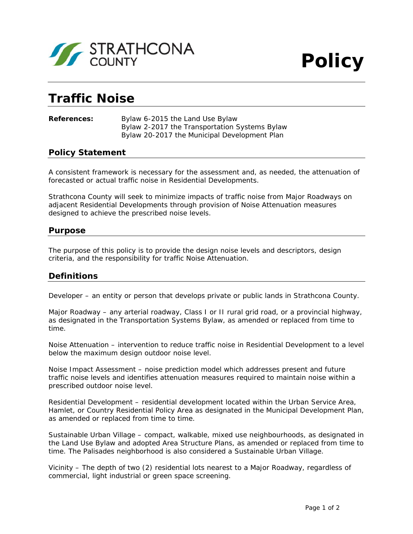

# **Traffic Noise**

#### **References:** Bylaw 6-2015 the *Land Use Bylaw* Bylaw 2-2017 the *Transportation Systems Bylaw* Bylaw 20-2017 the *Municipal Development Plan*

# **Policy Statement**

A consistent framework is necessary for the assessment and, as needed, the attenuation of forecasted or actual traffic noise in Residential Developments.

Strathcona County will seek to minimize impacts of traffic noise from Major Roadways on adjacent Residential Developments through provision of Noise Attenuation measures designed to achieve the prescribed noise levels.

## **Purpose**

The purpose of this policy is to provide the design noise levels and descriptors, design criteria, and the responsibility for traffic Noise Attenuation.

## **Definitions**

Developer – an entity or person that develops private or public lands in Strathcona County.

Major Roadway – any arterial roadway, Class I or II rural grid road, or a provincial highway, as designated in the *Transportation Systems Bylaw*, as amended or replaced from time to time.

Noise Attenuation – intervention to reduce traffic noise in Residential Development to a level below the maximum design outdoor noise level.

Noise Impact Assessment – noise prediction model which addresses present and future traffic noise levels and identifies attenuation measures required to maintain noise within a prescribed outdoor noise level.

Residential Development – residential development located within the Urban Service Area, Hamlet, or Country Residential Policy Area as designated in the *Municipal Development Pla*n, as amended or replaced from time to time.

Sustainable Urban Village – compact, walkable, mixed use neighbourhoods, as designated in the *Land Use Bylaw* and adopted Area Structure Plans, as amended or replaced from time to time. The Palisades neighborhood is also considered a Sustainable Urban Village.

Vicinity – The depth of two (2) residential lots nearest to a Major Roadway, regardless of commercial, light industrial or green space screening.